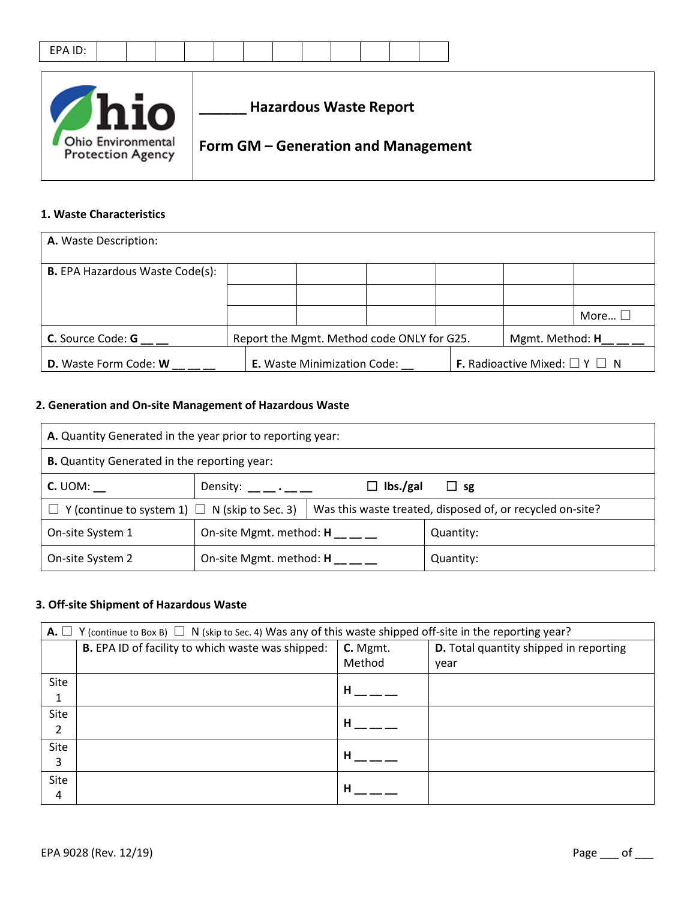|--|



### **1. Waste Characteristics**

| A. Waste Description:                  |                                                               |  |  |                                                |                |
|----------------------------------------|---------------------------------------------------------------|--|--|------------------------------------------------|----------------|
| <b>B.</b> EPA Hazardous Waste Code(s): |                                                               |  |  |                                                |                |
|                                        |                                                               |  |  |                                                |                |
|                                        |                                                               |  |  |                                                | More $\square$ |
| <b>C.</b> Source Code: <b>G</b>        | Report the Mgmt. Method code ONLY for G25.<br>Mgmt. Method: H |  |  |                                                |                |
| <b>D.</b> Waste Form Code: W           | <b>E.</b> Waste Minimization Code:                            |  |  | <b>F.</b> Radioactive Mixed: $\Box$ Y $\Box$ N |                |

### **2. Generation and On-site Management of Hazardous Waste**

| A. Quantity Generated in the year prior to reporting year:                                           |                                |                                                           |           |  |
|------------------------------------------------------------------------------------------------------|--------------------------------|-----------------------------------------------------------|-----------|--|
| <b>B.</b> Quantity Generated in the reporting year:                                                  |                                |                                                           |           |  |
| $C.$ UOM:<br>$\Box$ lbs./gal<br>Density: $\_\_\_\_\_\_\_\_\_\_\_\_\_\_\_\_\_\_\_\_\_$<br>$\sqcup$ sg |                                |                                                           |           |  |
| $\Box$ Y (continue to system 1) $\Box$ N (skip to Sec. 3)                                            |                                | Was this waste treated, disposed of, or recycled on-site? |           |  |
| On-site System 1                                                                                     | On-site Mgmt. method: H        |                                                           | Quantity: |  |
| On-site System 2                                                                                     | On-site Mgmt. method: <b>H</b> |                                                           | Quantity: |  |

#### **3. Off-site Shipment of Hazardous Waste**

|      | <b>A.</b> $\Box$ Y (continue to Box B) $\Box$ N (skip to Sec. 4) Was any of this waste shipped off-site in the reporting year? |          |                                        |  |  |
|------|--------------------------------------------------------------------------------------------------------------------------------|----------|----------------------------------------|--|--|
|      | B. EPA ID of facility to which waste was shipped:                                                                              | C. Mgmt. | D. Total quantity shipped in reporting |  |  |
|      |                                                                                                                                | Method   | year                                   |  |  |
| Site |                                                                                                                                | н        |                                        |  |  |
|      |                                                                                                                                |          |                                        |  |  |
| Site |                                                                                                                                | н        |                                        |  |  |
| 2    |                                                                                                                                |          |                                        |  |  |
| Site |                                                                                                                                | н        |                                        |  |  |
| 3    |                                                                                                                                |          |                                        |  |  |
| Site |                                                                                                                                | н        |                                        |  |  |
| 4    |                                                                                                                                |          |                                        |  |  |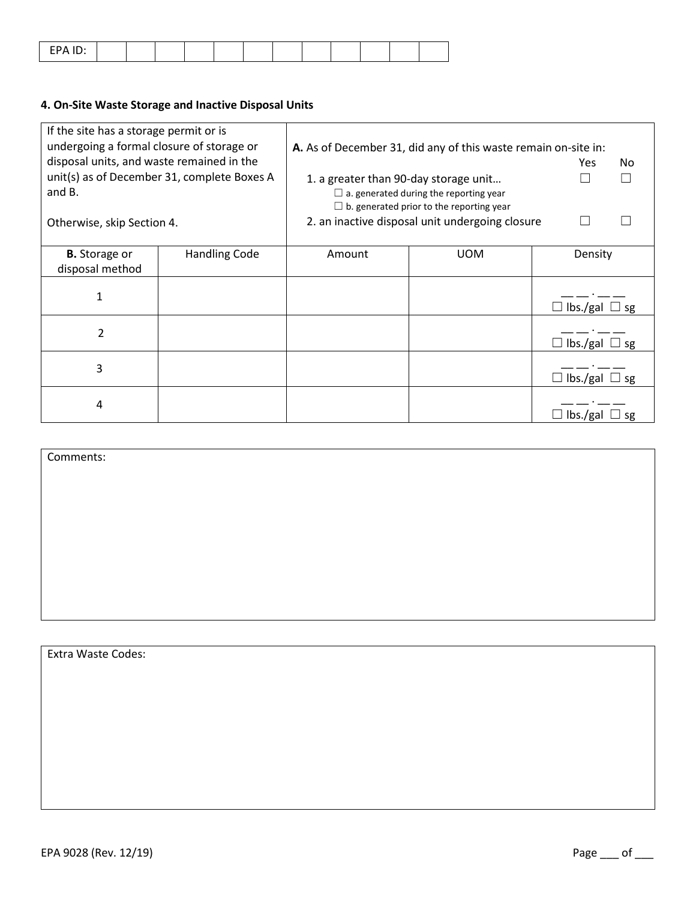|--|

## **4. On-Site Waste Storage and Inactive Disposal Units**

| If the site has a storage permit or is<br>undergoing a formal closure of storage or |                                             |                                                 | A. As of December 31, did any of this waste remain on-site in: |                                  |  |  |
|-------------------------------------------------------------------------------------|---------------------------------------------|-------------------------------------------------|----------------------------------------------------------------|----------------------------------|--|--|
| disposal units, and waste remained in the                                           |                                             |                                                 |                                                                | Yes.<br>No.                      |  |  |
|                                                                                     | unit(s) as of December 31, complete Boxes A | 1. a greater than 90-day storage unit           |                                                                |                                  |  |  |
| and B.                                                                              |                                             | $\Box$ a. generated during the reporting year   |                                                                |                                  |  |  |
|                                                                                     |                                             | $\Box$ b. generated prior to the reporting year |                                                                |                                  |  |  |
| Otherwise, skip Section 4.                                                          |                                             |                                                 | 2. an inactive disposal unit undergoing closure                |                                  |  |  |
|                                                                                     |                                             |                                                 |                                                                |                                  |  |  |
| <b>B.</b> Storage or                                                                | <b>Handling Code</b>                        | Amount                                          | <b>UOM</b>                                                     | Density                          |  |  |
| disposal method                                                                     |                                             |                                                 |                                                                |                                  |  |  |
|                                                                                     |                                             |                                                 |                                                                |                                  |  |  |
| 1                                                                                   |                                             |                                                 |                                                                | $\Box$ lbs./gal $\Box$ sg        |  |  |
|                                                                                     |                                             |                                                 |                                                                |                                  |  |  |
| 2                                                                                   |                                             |                                                 |                                                                | $\Box$ lbs./gal $\Box$ sg        |  |  |
| 3                                                                                   |                                             |                                                 |                                                                |                                  |  |  |
|                                                                                     |                                             |                                                 |                                                                | $\mathsf{lbs}$ ./gal $\Box$ sg   |  |  |
| 4                                                                                   |                                             |                                                 |                                                                |                                  |  |  |
|                                                                                     |                                             |                                                 |                                                                | $\mathsf{lbs}$ /gal $\Box$<br>sg |  |  |

Comments:

Extra Waste Codes: